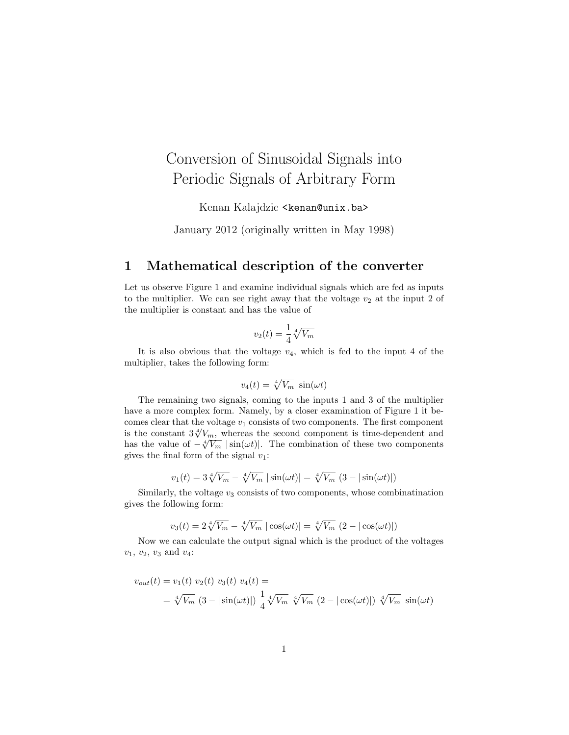## Conversion of Sinusoidal Signals into Periodic Signals of Arbitrary Form

Kenan Kalajdzic <kenan@unix.ba>

January 2012 (originally written in May 1998)

## 1 Mathematical description of the converter

Let us observe Figure 1 and examine individual signals which are fed as inputs to the multiplier. We can see right away that the voltage  $v_2$  at the input 2 of the multiplier is constant and has the value of

$$
v_2(t) = \frac{1}{4} \sqrt[4]{V_m}
$$

It is also obvious that the voltage  $v_4$ , which is fed to the input 4 of the multiplier, takes the following form:

$$
v_4(t) = \sqrt[4]{V_m} \, \sin(\omega t)
$$

The remaining two signals, coming to the inputs 1 and 3 of the multiplier have a more complex form. Namely, by a closer examination of Figure 1 it becomes clear that the voltage  $v_1$  consists of two components. The first component is the constant  $3\sqrt[4]{V_m}$ , whereas the second component is time-dependent and has the value of  $-\sqrt[4]{V_m}$  |sin( $\omega t$ )|. The combination of these two components gives the final form of the signal  $v_1$ :

$$
v_1(t) = 3\sqrt[4]{V_m} - \sqrt[4]{V_m} |\sin(\omega t)| = \sqrt[4]{V_m} (3 - |\sin(\omega t)|)
$$

Similarly, the voltage  $v_3$  consists of two components, whose combination gives the following form:

$$
v_3(t) = 2\sqrt[4]{V_m} - \sqrt[4]{V_m} |\cos(\omega t)| = \sqrt[4]{V_m} (2 - |\cos(\omega t)|)
$$

Now we can calculate the output signal which is the product of the voltages  $v_1, v_2, v_3 \text{ and } v_4$ :

$$
v_{out}(t) = v_1(t) v_2(t) v_3(t) v_4(t) =
$$
  
=  $\sqrt[4]{V_m} (3 - |\sin(\omega t)|) \frac{1}{4} \sqrt[4]{V_m} \sqrt[4]{V_m} (2 - |\cos(\omega t)|) \sqrt[4]{V_m} \sin(\omega t)$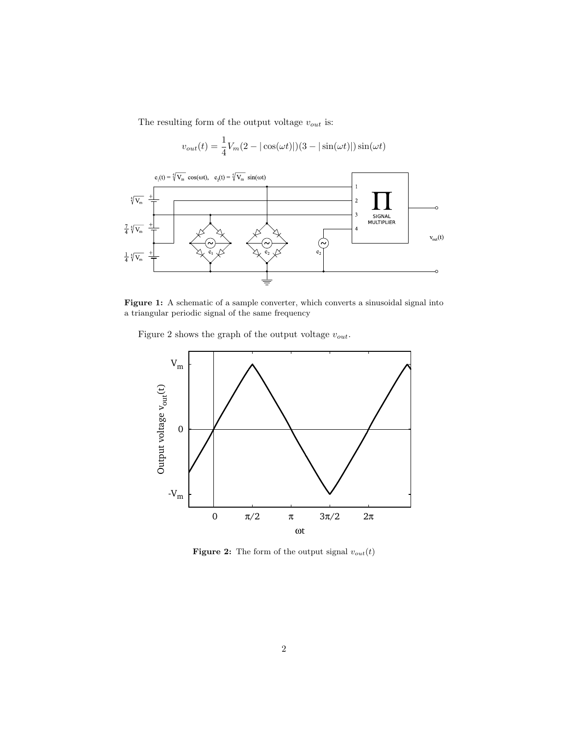The resulting form of the output voltage  $v_{\mathit{out}}$  is:



Figure 1: A schematic of a sample converter, which converts a sinusoidal signal into a triangular periodic signal of the same frequency

Figure 2 shows the graph of the output voltage  $v_{out}$ .



Figure 2: The form of the output signal  $v_{out}(t)$